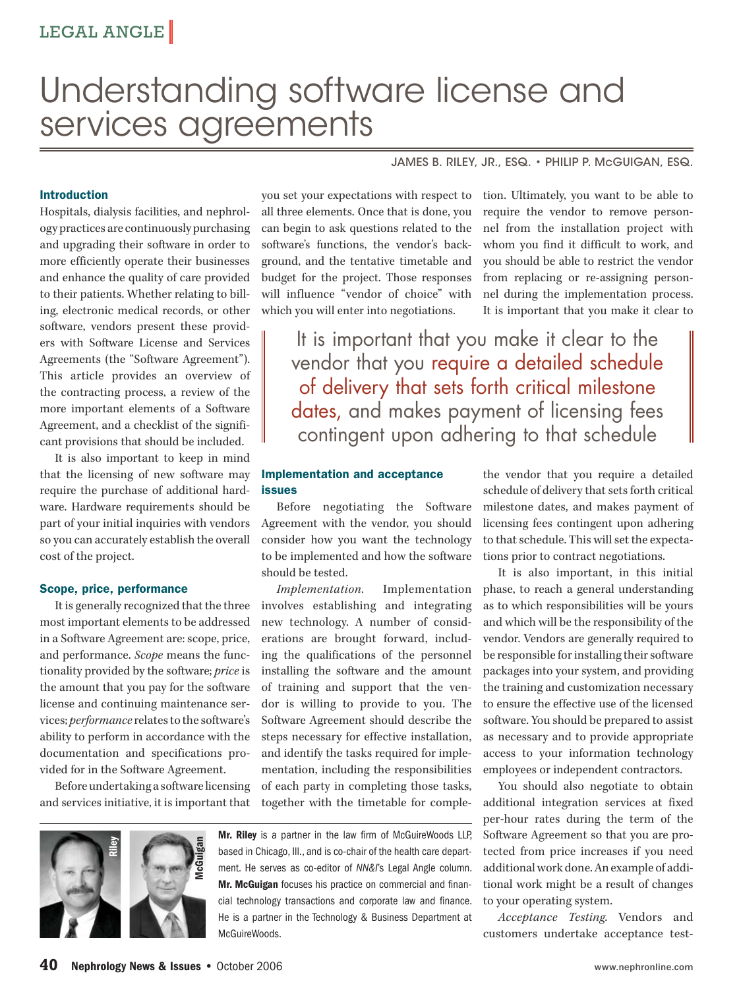# Understanding software license and services agreements

#### JAMES B. RILEY, JR., ESQ. • PHILIP P. McGUIGAN, ESQ.

#### **Introduction**

Hospitals, dialysis facilities, and nephrology practices are continuously purchasing and upgrading their software in order to more efficiently operate their businesses and enhance the quality of care provided to their patients. Whether relating to billing, electronic medical records, or other software, vendors present these providers with Software License and Services Agreements (the "Software Agreement"). This article provides an overview of the contracting process, a review of the more important elements of a Software Agreement, and a checklist of the significant provisions that should be included.

It is also important to keep in mind that the licensing of new software may require the purchase of additional hardware. Hardware requirements should be part of your initial inquiries with vendors so you can accurately establish the overall cost of the project.

#### **Scope, price, performance**

It is generally recognized that the three most important elements to be addressed in a Software Agreement are: scope, price, and performance. *Scope* means the functionality provided by the software; *price* is the amount that you pay for the software license and continuing maintenance services; *performance* relates to the software's ability to perform in accordance with the documentation and specifications provided for in the Software Agreement.

Before undertaking a software licensing and services initiative, it is important that

you set your expectations with respect to all three elements. Once that is done, you can begin to ask questions related to the software's functions, the vendor's background, and the tentative timetable and budget for the project. Those responses will influence "vendor of choice" with which you will enter into negotiations.

tion. Ultimately, you want to be able to require the vendor to remove personnel from the installation project with whom you find it difficult to work, and you should be able to restrict the vendor from replacing or re-assigning personnel during the implementation process. It is important that you make it clear to

It is important that you make it clear to the vendor that you require a detailed schedule of delivery that sets forth critical milestone dates, and makes payment of licensing fees contingent upon adhering to that schedule

#### **Implementation and acceptance issues**

Before negotiating the Software Agreement with the vendor, you should consider how you want the technology to be implemented and how the software should be tested.

*Implementation.* Implementation involves establishing and integrating new technology. A number of considerations are brought forward, including the qualifications of the personnel installing the software and the amount of training and support that the vendor is willing to provide to you. The Software Agreement should describe the steps necessary for effective installation, and identify the tasks required for implementation, including the responsibilities of each party in completing those tasks, together with the timetable for comple-



**Mr. Riley** is a partner in the law firm of McGuireWoods LLP, based in Chicago, Ill., and is co-chair of the health care department. He serves as co-editor of NN&I's Legal Angle column. **Mr. McGuigan** focuses his practice on commercial and financial technology transactions and corporate law and finance. He is a partner in the Technology & Business Department at McGuireWoods.

the vendor that you require a detailed schedule of delivery that sets forth critical milestone dates, and makes payment of licensing fees contingent upon adhering to that schedule. This will set the expectations prior to contract negotiations.

It is also important, in this initial phase, to reach a general understanding as to which responsibilities will be yours and which will be the responsibility of the vendor. Vendors are generally required to be responsible for installing their software packages into your system, and providing the training and customization necessary to ensure the effective use of the licensed software. You should be prepared to assist as necessary and to provide appropriate access to your information technology employees or independent contractors.

You should also negotiate to obtain additional integration services at fixed per-hour rates during the term of the Software Agreement so that you are protected from price increases if you need additional work done. An example of additional work might be a result of changes to your operating system.

*Acceptance Testing.* Vendors and customers undertake acceptance test-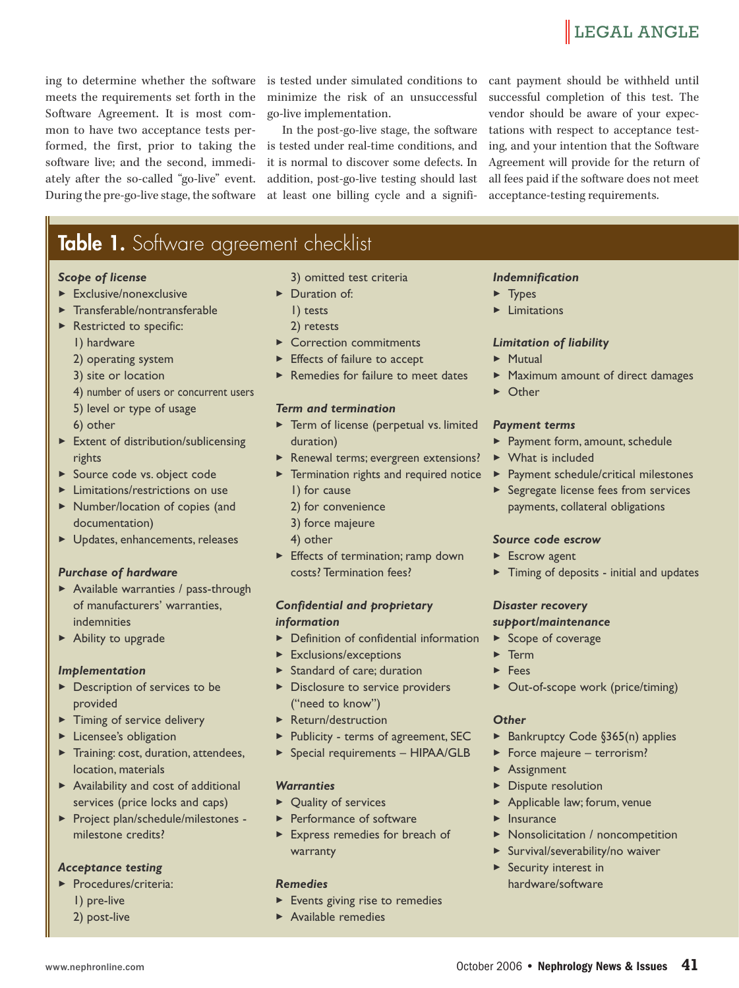### **LEGAL ANGLE**

ing to determine whether the software meets the requirements set forth in the Software Agreement. It is most common to have two acceptance tests performed, the first, prior to taking the software live; and the second, immediately after the so-called "go-live" event. During the pre-go-live stage, the software

is tested under simulated conditions to minimize the risk of an unsuccessful go-live implementation.

In the post-go-live stage, the software is tested under real-time conditions, and it is normal to discover some defects. In addition, post-go-live testing should last at least one billing cycle and a significant payment should be withheld until successful completion of this test. The vendor should be aware of your expectations with respect to acceptance testing, and your intention that the Software Agreement will provide for the return of all fees paid if the software does not meet acceptance-testing requirements.

## **Table 1.** Software agreement checklist

#### *Scope of license*

- 3Exclusive/nonexclusive
- **Transferable/nontransferable**
- **>** Restricted to specific: 1) hardware
	- 2) operating system
	- 3) site or location
	- 4) number of users or concurrent users
	- 5) level or type of usage
	- 6) other
- 3Extent of distribution/sublicensing rights
- ▶ Source code vs. object code
- 3Limitations/restrictions on use
- 3Number/location of copies (and documentation)
- 3Updates, enhancements, releases

#### *Purchase of hardware*

- 3Available warranties / pass-through of manufacturers' warranties, indemnities
- 3Ability to upgrade

#### *Implementation*

- Description of services to be provided
- **Timing of service delivery**
- **>** Licensee's obligation
- **Training: cost, duration, attendees,** location, materials
- 3Availability and cost of additional services (price locks and caps)
- 3Project plan/schedule/milestones milestone credits?

#### *Acceptance testing*

- 3Procedures/criteria: 1) pre-live
	- 2) post-live

3) omitted test criteria

- ▶ Duration of:
	- 1) tests
	- 2) retests
- 3Correction commitments
- **Effects of failure to accept**
- 

#### *Term and termination*

- **>** Term of license (perpetual vs. limited duration)
- Renewal terms; evergreen extensions?
- **>** Termination rights and required notice 1) for cause
	- 2) for convenience
	- 3) force majeure
	- 4) other
- 3Effects of termination; ramp down costs? Termination fees?

#### *Confidential and proprietary information*

- **Definition of confidential information**
- 3Exclusions/exceptions
- **>** Standard of care; duration
- **Disclosure to service providers** ("need to know")
- 3Return/destruction
- ▶ Publicity terms of agreement, SEC
- 3Special requirements HIPAA/GLB

#### *Warranties*

- ▶ Quality of services
- **>** Performance of software
- 3Express remedies for breach of warranty

#### *Remedies*

- ▶ Events giving rise to remedies
- 3Available remedies

#### *Indemnification*

- 3Types
- 3Limitations

#### *Limitation of liability*

- 3Mutual
- 3Maximum amount of direct damages
- 3Other

#### *Payment terms*

- 3Payment form, amount, schedule
- 3What is included
- 3Payment schedule/critical milestones
- **>** Segregate license fees from services payments, collateral obligations

### *Source code escrow*

- 3Escrow agent
- ▶ Timing of deposits initial and updates

#### *Disaster recovery support/maintenance*

#### ▶ Scope of coverage

- 3Term
- 3Fees
- ▶ Out-of-scope work (price/timing)

#### *Other*

- ▶ Bankruptcy Code §365(n) applies
- ▶ Force majeure terrorism?
- 3Assignment
- **Dispute resolution**
- 3Applicable law; forum, venue
- **>** Insurance
- 3Nonsolicitation / noncompetition
- 3Survival/severability/no waiver
- **>** Security interest in hardware/software

- 
- 

▶ Remedies for failure to meet dates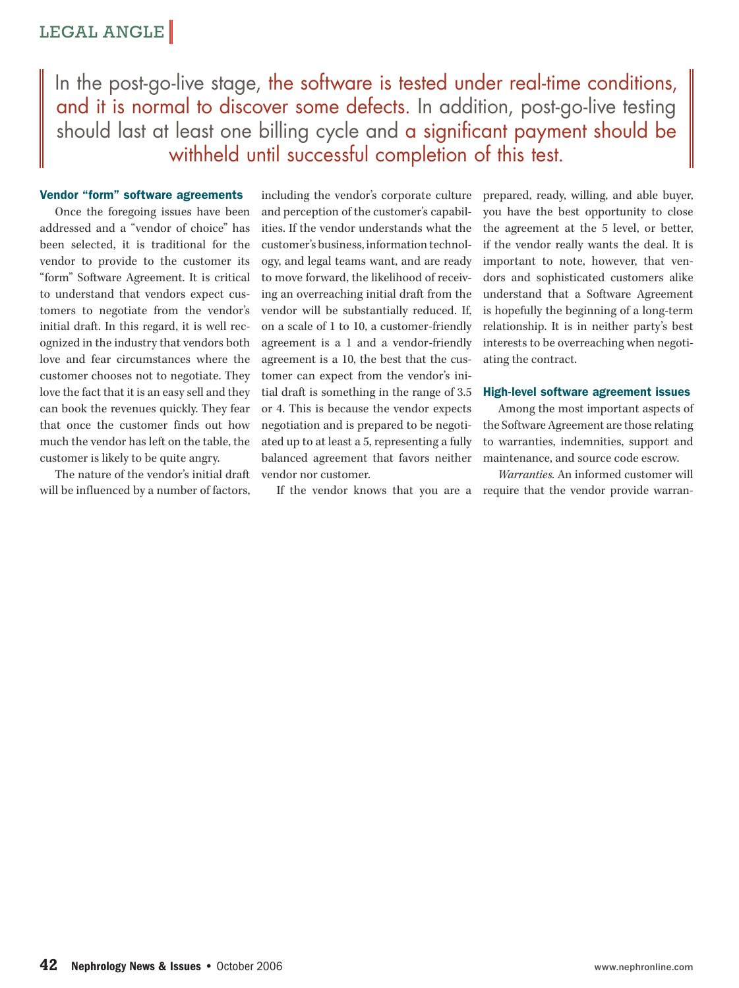### LEGAL ANGLE

In the post-go-live stage, the software is tested under real-time conditions, and it is normal to discover some defects. In addition, post-go-live testing should last at least one billing cycle and a significant payment should be withheld until successful completion of this test.

#### **Vendor "form" software agreements**

Once the foregoing issues have been addressed and a "vendor of choice" has been selected, it is traditional for the vendor to provide to the customer its "form" Software Agreement. It is critical to understand that vendors expect customers to negotiate from the vendor's initial draft. In this regard, it is well recognized in the industry that vendors both love and fear circumstances where the customer chooses not to negotiate. They love the fact that it is an easy sell and they can book the revenues quickly. They fear that once the customer finds out how much the vendor has left on the table, the customer is likely to be quite angry.

The nature of the vendor's initial draft will be influenced by a number of factors, including the vendor's corporate culture and perception of the customer's capabilities. If the vendor understands what the customer's business, information technology, and legal teams want, and are ready to move forward, the likelihood of receiving an overreaching initial draft from the vendor will be substantially reduced. If, on a scale of 1 to 10, a customer-friendly agreement is a 1 and a vendor-friendly agreement is a 10, the best that the customer can expect from the vendor's initial draft is something in the range of 3.5 or 4. This is because the vendor expects negotiation and is prepared to be negotiated up to at least a 5, representing a fully balanced agreement that favors neither vendor nor customer.

If the vendor knows that you are a require that the vendor provide warran-

prepared, ready, willing, and able buyer, you have the best opportunity to close the agreement at the 5 level, or better, if the vendor really wants the deal. It is important to note, however, that vendors and sophisticated customers alike understand that a Software Agreement is hopefully the beginning of a long-term relationship. It is in neither party's best interests to be overreaching when negotiating the contract.

#### **High-level software agreement issues**

Among the most important aspects of the Software Agreement are those relating to warranties, indemnities, support and maintenance, and source code escrow.

*Warranties.* An informed customer will